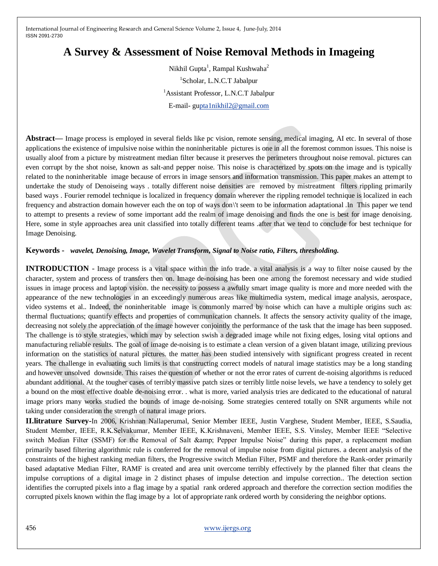## **A Survey & Assessment of Noise Removal Methods in Imageing**

Nikhil Gupta<sup>1</sup>, Rampal Kushwaha<sup>2</sup> 1 Scholar, L.N.C.T Jabalpur <sup>1</sup>Assistant Professor, L.N.C.T Jabalpur E-mail- g[upta1nikhil2@gmail.com](mailto:pta1nikhil2@gmail.com)

**Abstract—** Image process is employed in several fields like pc vision, remote sensing, medical imaging, AI etc. In several of those applications the existence of impulsive noise within the noninheritable pictures is one in all the foremost common issues. This noise is usually aloof from a picture by mistreatment median filter because it preserves the perimeters throughout noise removal. pictures can even corrupt by the shot noise, known as salt-and pepper noise. This noise is characterized by spots on the image and is typically related to the noninheritable image because of errors in image sensors and information transmission. This paper makes an attempt to undertake the study of Denoiseing ways . totally different noise densities are removed by mistreatment filters rippling primarily based ways . Fourier remodel technique is localized in frequency domain wherever the rippling remodel technique is localized in each frequency and abstraction domain however each the on top of ways don\'t seem to be information adaptational .In This paper we tend to attempt to presents a review of some important add the realm of image denoising and finds the one is best for image denoising. Here, some in style approaches area unit classified into totally different teams .after that we tend to conclude for best technique for Image Denoising.

## **Keywords -** *wavelet, Denoising, Image, Wavelet Transform, Signal to Noise ratio, Filters, thresholding.*

**INTRODUCTION** - Image process is a vital space within the info trade. a vital analysis is a way to filter noise caused by the character, system and process of transfers then on. Image de-noising has been one among the foremost necessary and wide studied issues in image process and laptop vision. the necessity to possess a awfully smart image quality is more and more needed with the appearance of the new technologies in an exceedingly numerous areas like multimedia system, medical image analysis, aerospace, video systems et al.. Indeed, the noninheritable image is commonly marred by noise which can have a multiple origins such as: thermal fluctuations; quantify effects and properties of communication channels. It affects the sensory activity quality of the image, decreasing not solely the appreciation of the image however conjointly the performance of the task that the image has been supposed. The challenge is to style strategies, which may by selection swish a degraded image while not fixing edges, losing vital options and manufacturing reliable results. The goal of image de-noising is to estimate a clean version of a given blatant image, utilizing previous information on the statistics of natural pictures. the matter has been studied intensively with significant progress created in recent years. The challenge in evaluating such limits is that constructing correct models of natural image statistics may be a long standing and however unsolved downside. This raises the question of whether or not the error rates of current de-noising algorithms is reduced abundant additional. At the tougher cases of terribly massive patch sizes or terribly little noise levels, we have a tendency to solely get a bound on the most effective doable de-noising error. . what is more, varied analysis tries are dedicated to the educational of natural image priors many works studied the bounds of image de-noising. Some strategies centered totally on SNR arguments while not taking under consideration the strength of natural image priors.

**II.litrature Survey-**In 2006, Krishnan Nallaperumal, Senior Member IEEE, Justin Varghese, Student Member, IEEE, S.Saudia, Student Member, IEEE, R.K.Selvakumar, Member IEEE, K.Krishnaveni, Member IEEE, S.S. Vinsley, Member IEEE "Selective switch Median Filter (SSMF) for the Removal of Salt & amp; Pepper Impulse Noise" during this paper, a replacement median primarily based filtering algorithmic rule is conferred for the removal of impulse noise from digital pictures. a decent analysis of the constraints of the highest ranking median filters, the Progressive switch Median Filter, PSMF and therefore the Rank-order primarily based adaptative Median Filter, RAMF is created and area unit overcome terribly effectively by the planned filter that cleans the impulse corruptions of a digital image in 2 distinct phases of impulse detection and impulse correction.. The detection section identifies the corrupted pixels into a flag image by a spatial rank ordered approach and therefore the correction section modifies the corrupted pixels known within the flag image by a lot of appropriate rank ordered worth by considering the neighbor options.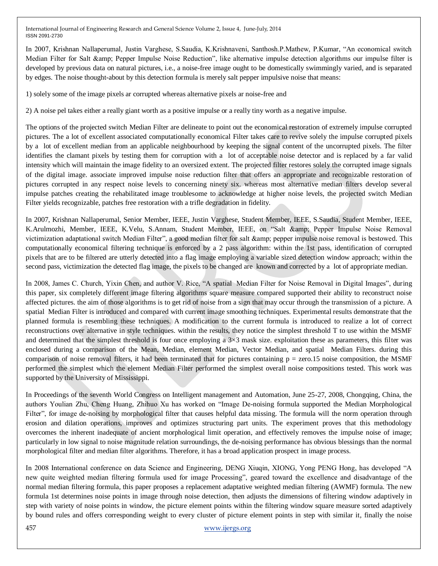In 2007, Krishnan Nallaperumal, Justin Varghese, S.Saudia, K.Krishnaveni, Santhosh.P.Mathew, P.Kumar, "An economical switch Median Filter for Salt & amp; Pepper Impulse Noise Reduction", like alternative impulse detection algorithms our impulse filter is developed by previous data on natural pictures, i.e., a noise-free image ought to be domestically swimmingly varied, and is separated by edges. The noise thought-about by this detection formula is merely salt pepper impulsive noise that means:

1) solely some of the image pixels ar corrupted whereas alternative pixels ar noise-free and

2) A noise pel takes either a really giant worth as a positive impulse or a really tiny worth as a negative impulse.

The options of the projected switch Median Filter are delineate to point out the economical restoration of extremely impulse corrupted pictures. The a lot of excellent associated computationally economical Filter takes care to revive solely the impulse corrupted pixels by a lot of excellent median from an applicable neighbourhood by keeping the signal content of the uncorrupted pixels. The filter identifies the clamant pixels by testing them for corruption with a lot of acceptable noise detector and is replaced by a far valid intensity which will maintain the image fidelity to an oversized extent. The projected filter restores solely the corrupted image signals of the digital image. associate improved impulse noise reduction filter that offers an appropriate and recognizable restoration of pictures corrupted in any respect noise levels to concerning ninety six. whereas most alternative median filters develop several impulse patches creating the rehabilitated image troublesome to acknowledge at higher noise levels, the projected switch Median Filter yields recognizable, patches free restoration with a trifle degradation in fidelity.

In 2007, Krishnan Nallaperumal, Senior Member, IEEE, Justin Varghese, Student Member, IEEE, S.Saudia, Student Member, IEEE, K.Arulmozhi, Member, IEEE, K.Velu, S.Annam, Student Member, IEEE, on "Salt & amp; Pepper Impulse Noise Removal victimization adaptational switch Median Filter", a good median filter for salt & amp; pepper impulse noise removal is bestowed. This computationally economical filtering technique is enforced by a 2 pass algorithm: within the 1st pass, identification of corrupted pixels that are to be filtered are utterly detected into a flag image employing a variable sized detection window approach; within the second pass, victimization the detected flag image, the pixels to be changed are known and corrected by a lot of appropriate median.

In 2008, James C. Church, Yixin Chen, and author V. Rice, "A spatial Median Filter for Noise Removal in Digital Images", during this paper, six completely different image filtering algorithms square measure compared supported their ability to reconstruct noise affected pictures. the aim of those algorithms is to get rid of noise from a sign that may occur through the transmission of a picture. A spatial Median Filter is introduced and compared with current image smoothing techniques. Experimental results demonstrate that the planned formula is resembling these techniques. A modification to the current formula is introduced to realize a lot of correct reconstructions over alternative in style techniques. within the results, they notice the simplest threshold T to use within the MSMF and determined that the simplest threshold is four once employing a  $3\times3$  mask size. exploitation these as parameters, this filter was enclosed during a comparison of the Mean, Median, element Median, Vector Median, and spatial Median Filters. during this comparison of noise removal filters, it had been terminated that for pictures containing  $p = zero.15$  noise composition, the MSMF performed the simplest which the element Median Filter performed the simplest overall noise compositions tested. This work was supported by the University of Mississippi.

In Proceedings of the seventh World Congress on Intelligent management and Automation, June 25-27, 2008, Chongqing, China, the authors Youlian Zhu, Cheng Huang, Zhihuo Xu has worked on "Image De-noising formula supported the Median Morphological Filter", for image de-noising by morphological filter that causes helpful data missing. The formula will the norm operation through erosion and dilation operations, improves and optimizes structuring part units. The experiment proves that this methodology overcomes the inherent inadequate of ancient morphological limit operation, and effectively removes the impulse noise of image; particularly in low signal to noise magnitude relation surroundings, the de-noising performance has obvious blessings than the normal morphological filter and median filter algorithms. Therefore, it has a broad application prospect in image process.

In 2008 International conference on data Science and Engineering, DENG Xiuqin, XIONG, Yong PENG Hong, has developed "A new quite weighted median filtering formula used for image Processing", geared toward the excellence and disadvantage of the normal median filtering formula, this paper proposes a replacement adaptative weighted median filtering (AWMF) formula. The new formula 1st determines noise points in image through noise detection, then adjusts the dimensions of filtering window adaptively in step with variety of noise points in window, the picture element points within the filtering window square measure sorted adaptively by bound rules and offers corresponding weight to every cluster of picture element points in step with similar it, finally the noise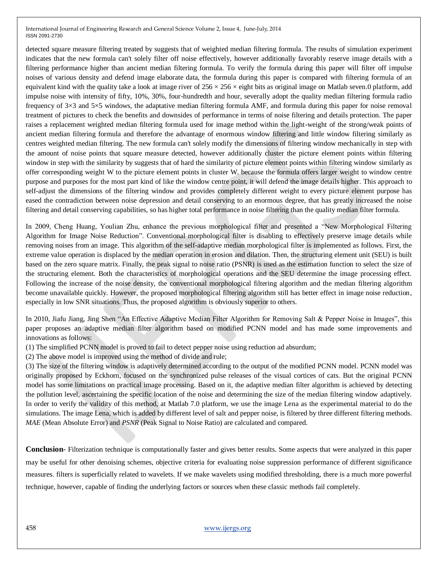detected square measure filtering treated by suggests that of weighted median filtering formula. The results of simulation experiment indicates that the new formula can't solely filter off noise effectively, however additionally favorably reserve image details with a filtering performance higher than ancient median filtering formula. To verify the formula during this paper will filter off impulse noises of various density and defend image elaborate data, the formula during this paper is compared with filtering formula of an equivalent kind with the quality take a look at image river of  $256 \times 256 \times$  eight bits as original image on Matlab seven. O platform, add impulse noise with intensity of fifty, 10%, 30%, four-hundredth and hour, severally adopt the quality median filtering formula radio frequency of 3×3 and 5×5 windows, the adaptative median filtering formula AMF, and formula during this paper for noise removal treatment of pictures to check the benefits and downsides of performance in terms of noise filtering and details protection. The paper raises a replacement weighted median filtering formula used for image method within the light-weight of the strong/weak points of ancient median filtering formula and therefore the advantage of enormous window filtering and little window filtering similarly as centres weighted median filtering. The new formula can't solely modify the dimensions of filtering window mechanically in step with the amount of noise points that square measure detected, however additionally cluster the picture element points within filtering window in step with the similarity by suggests that of hard the similarity of picture element points within filtering window similarly as offer corresponding weight W to the picture element points in cluster W. because the formula offers larger weight to window centre purpose and purposes for the most part kind of like the window centre point, it will defend the image details higher. This approach to self-adjust the dimensions of the filtering window and provides completely different weight to every picture element purpose has eased the contradiction between noise depression and detail conserving to an enormous degree, that has greatly increased the noise filtering and detail conserving capabilities, so has higher total performance in noise filtering than the quality median filter formula.

In 2009, Cheng Huang, Youlian Zhu, enhance the previous morphological filter and presented a "New Morphological Filtering Algorithm for Image Noise Reduction". Conventional morphological filter is disabling to effectively preserve image details while removing noises from an image. This algorithm of the self-adaptive median morphological filter is implemented as follows. First, the extreme value operation is displaced by the median operation in erosion and dilation. Then, the structuring element unit (SEU) is built based on the zero square matrix. Finally, the peak signal to noise ratio (PSNR) is used as the estimation function to select the size of the structuring element. Both the characteristics of morphological operations and the SEU determine the image processing effect. Following the increase of the noise density, the conventional morphological filtering algorithm and the median filtering algorithm become unavailable quickly. However, the proposed morphological filtering algorithm still has better effect in image noise reduction, especially in low SNR situations. Thus, the proposed algorithm is obviously superior to others.

In 2010, Jiafu Jiang, Jing Shen "An Effective Adaptive Median Filter Algorithm for Removing Salt & Pepper Noise in Images", this paper proposes an adaptive median filter algorithm based on modified PCNN model and has made some improvements and innovations as follows:

(1) The simplified PCNN model is proved to fail to detect pepper noise using reduction ad absurdum;

(2) The above model is improved using the method of divide and rule;

(3) The size of the filtering window is adaptively determined according to the output of the modified PCNN model. PCNN model was originally proposed by Eckhorn, focused on the synchronized pulse releases of the visual cortices of cats. But the original PCNN model has some limitations on practical image processing. Based on it, the adaptive median filter algorithm is achieved by detecting the pollution level, ascertaining the specific location of the noise and determining the size of the median filtering window adaptively. In order to verify the validity of this method, at Matlab 7.0 platform, we use the image Lena as the experimental material to do the simulations. The image Lena, which is added by different level of salt and pepper noise, is filtered by three different filtering methods. *MAE* (Mean Absolute Error) and *PSNR* (Peak Signal to Noise Ratio) are calculated and compared.

**Conclusion**- Filterization technique is computationally faster and gives better results. Some aspects that were analyzed in this paper may be useful for other denoising schemes, objective criteria for evaluating noise suppression performance of different significance measures. filters is superficially related to wavelets. If we make wavelets using modified thresholding, there is a much more powerful technique, however, capable of finding the underlying factors or sources when these classic methods fail completely.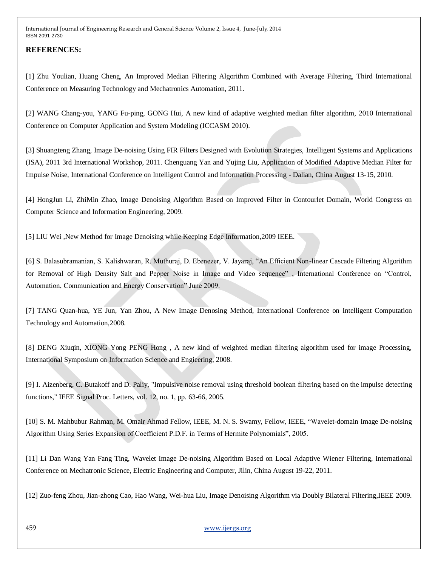## **REFERENCES:**

[1] Zhu Youlian, Huang Cheng, An Improved Median Filtering Algorithm Combined with Average Filtering, Third International Conference on Measuring Technology and Mechatronics Automation, 2011.

[2] WANG Chang-you, YANG Fu-ping, GONG Hui, A new kind of adaptive weighted median filter algorithm, 2010 International Conference on Computer Application and System Modeling (ICCASM 2010).

[3] Shuangteng Zhang, Image De-noising Using FIR Filters Designed with Evolution Strategies, Intelligent Systems and Applications (ISA), 2011 3rd International Workshop, 2011. Chenguang Yan and Yujing Liu, Application of Modified Adaptive Median Filter for Impulse Noise, International Conference on Intelligent Control and Information Processing - Dalian, China August 13-15, 2010.

[4] HongJun Li, ZhiMin Zhao, Image Denoising Algorithm Based on Improved Filter in Contourlet Domain, World Congress on Computer Science and Information Engineering, 2009.

[5] LIU Wei , New Method for Image Denoising while Keeping Edge Information, 2009 IEEE.

[6] S. Balasubramanian, S. Kalishwaran, R. Muthuraj, D. Ebenezer, V. Jayaraj, "An Efficient Non-linear Cascade Filtering Algorithm for Removal of High Density Salt and Pepper Noise in Image and Video sequence" , International Conference on "Control, Automation, Communication and Energy Conservation" June 2009.

[7] TANG Quan-hua, YE Jun, Yan Zhou, A New Image Denosing Method, International Conference on Intelligent Computation Technology and Automation,2008.

[8] DENG Xiuqin, XIONG Yong PENG Hong , A new kind of weighted median filtering algorithm used for image Processing, International Symposium on Information Science and Engieering, 2008.

[9] I. Aizenberg, C. Butakoff and D. Paliy, "Impulsive noise removal using threshold boolean filtering based on the impulse detecting functions," IEEE Signal Proc. Letters, vol. 12, no. 1, pp. 63-66, 2005.

[10] S. M. Mahbubur Rahman, M. Omair Ahmad Fellow, IEEE, M. N. S. Swamy, Fellow, IEEE, "Wavelet-domain Image De-noising Algorithm Using Series Expansion of Coefficient P.D.F. in Terms of Hermite Polynomials", 2005.

[11] Li Dan Wang Yan Fang Ting, Wavelet Image De-noising Algorithm Based on Local Adaptive Wiener Filtering, International Conference on Mechatronic Science, Electric Engineering and Computer, Jilin, China August 19-22, 2011.

[12] Zuo-feng Zhou, Jian-zhong Cao, Hao Wang, Wei-hua Liu, Image Denoising Algorithm via Doubly Bilateral Filtering,IEEE 2009.